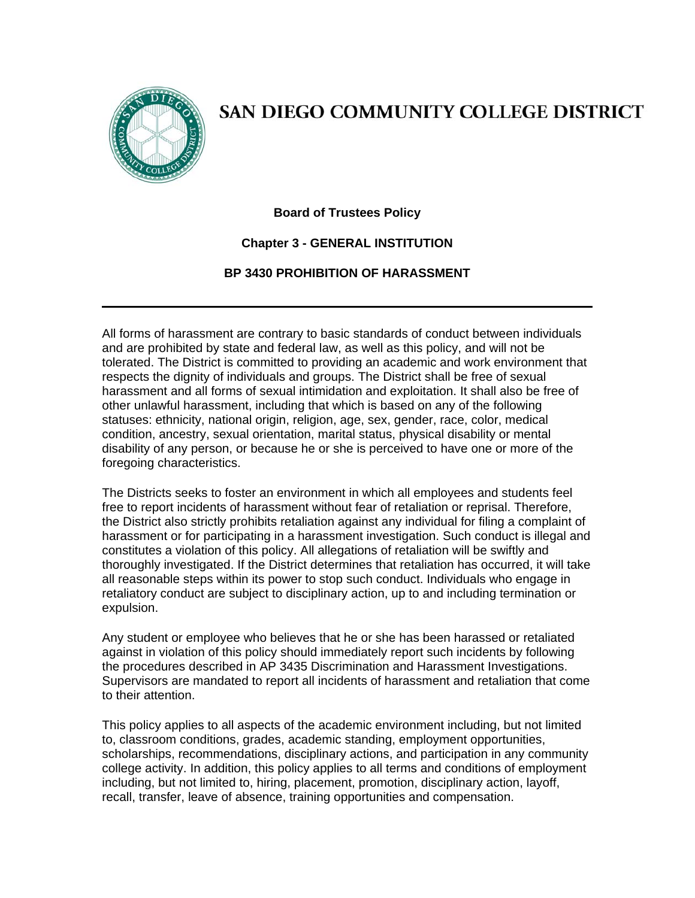

## SAN DIEGO COMMUNITY COLLEGE DISTRICT

## **Board of Trustees Policy**

## **Chapter 3 - GENERAL INSTITUTION**

## **BP 3430 PROHIBITION OF HARASSMENT**

All forms of harassment are contrary to basic standards of conduct between individuals and are prohibited by state and federal law, as well as this policy, and will not be tolerated. The District is committed to providing an academic and work environment that respects the dignity of individuals and groups. The District shall be free of sexual harassment and all forms of sexual intimidation and exploitation. It shall also be free of other unlawful harassment, including that which is based on any of the following statuses: ethnicity, national origin, religion, age, sex, gender, race, color, medical condition, ancestry, sexual orientation, marital status, physical disability or mental disability of any person, or because he or she is perceived to have one or more of the foregoing characteristics.

The Districts seeks to foster an environment in which all employees and students feel free to report incidents of harassment without fear of retaliation or reprisal. Therefore, the District also strictly prohibits retaliation against any individual for filing a complaint of harassment or for participating in a harassment investigation. Such conduct is illegal and constitutes a violation of this policy. All allegations of retaliation will be swiftly and thoroughly investigated. If the District determines that retaliation has occurred, it will take all reasonable steps within its power to stop such conduct. Individuals who engage in retaliatory conduct are subject to disciplinary action, up to and including termination or expulsion.

Any student or employee who believes that he or she has been harassed or retaliated against in violation of this policy should immediately report such incidents by following the procedures described in AP 3435 Discrimination and Harassment Investigations. Supervisors are mandated to report all incidents of harassment and retaliation that come to their attention.

This policy applies to all aspects of the academic environment including, but not limited to, classroom conditions, grades, academic standing, employment opportunities, scholarships, recommendations, disciplinary actions, and participation in any community college activity. In addition, this policy applies to all terms and conditions of employment including, but not limited to, hiring, placement, promotion, disciplinary action, layoff, recall, transfer, leave of absence, training opportunities and compensation.